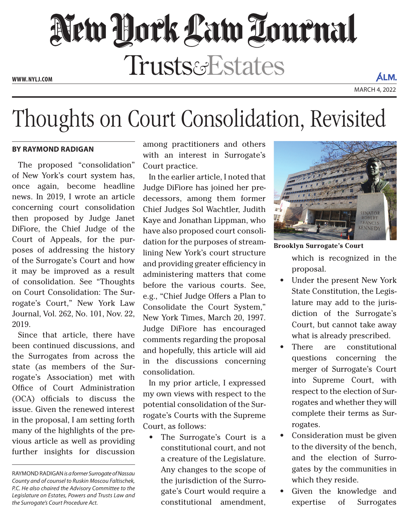## New Dock Law Louenal **Trusts&Estates**

**www. NYLJ.com**

## Thoughts on Court Consolidation, Revisited

## **by Raymond Radigan**

The proposed "consolidation" of New York's court system has, once again, become headline news. In 2019, I wrote an article concerning court consolidation then proposed by Judge Janet DiFiore, the Chief Judge of the Court of Appeals, for the purposes of addressing the history of the Surrogate's Court and how it may be improved as a result of consolidation. See "Thoughts on Court Consolidation: The Surrogate's Court," New York Law Journal, Vol. 262, No. 101, Nov. 22, 2019.

Since that article, there have been continued discussions, and the Surrogates from across the state (as members of the Surrogate's Association) met with Office of Court Administration (OCA) officials to discuss the issue. Given the renewed interest in the proposal, I am setting forth many of the highlights of the previous article as well as providing further insights for discussion among practitioners and others with an interest in Surrogate's Court practice.

In the earlier article, I noted that Judge DiFiore has joined her predecessors, among them former Chief Judges Sol Wachtler, Judith Kaye and Jonathan Lippman, who have also proposed court consolidation for the purposes of streamlining New York's court structure and providing greater efficiency in administering matters that come before the various courts. See, e.g., "Chief Judge Offers a Plan to Consolidate the Court System," New York Times, March 20, 1997. Judge DiFiore has encouraged comments regarding the proposal and hopefully, this article will aid in the discussions concerning consolidation.

In my prior article, I expressed my own views with respect to the potential consolidation of the Surrogate's Courts with the Supreme Court, as follows:

The Surrogate's Court is a constitutional court, and not a creature of the Legislature. Any changes to the scope of the jurisdiction of the Surrogate's Court would require a constitutional amendment,



**Brooklyn Surrogate's Court**

which is recognized in the proposal.

- Under the present New York State Constitution, the Legislature may add to the jurisdiction of the Surrogate's Court, but cannot take away what is already prescribed.
- There are constitutional questions concerning the merger of Surrogate's Court into Supreme Court, with respect to the election of Surrogates and whether they will complete their terms as Surrogates.
- Consideration must be given to the diversity of the bench, and the election of Surrogates by the communities in which they reside.
- Given the knowledge and expertise of Surrogates

Raymond Radigan *is a former Surrogate of Nassau County and of counsel to Ruskin Moscou Faltischek, P.C. He also chaired the Advisory Committee to the Legislature on Estates, Powers and Trusts Law and the Surrogate's Court Procedure Act.*